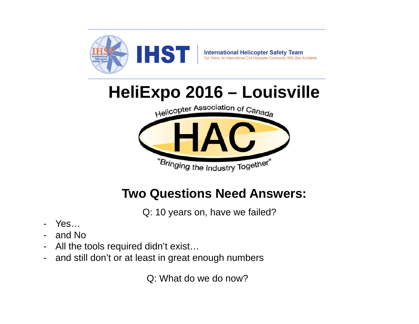

# **HeliExpo 2016 – Louisville**



## **Two Questions Need Answers:**

Q: 10 years on, have we failed?

- -Yes…
- and No
- -All the tools required didn't exist…
- and still don't or at least in great enough numbers

Q: What do we do now?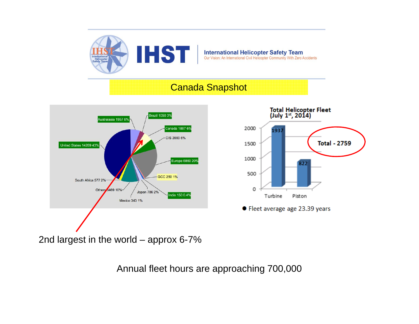

#### **International Helicopter Safety Team**<br>Our Vision: An International Civil Helicopter Community With Zero Accidents

#### Canada Snapshot





2nd largest in the world – approx 6-7%

Annual fleet hours are approaching 700,000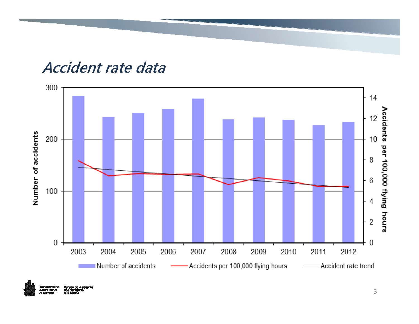## **Accident rate data**





au de la aécurité ety Board des transport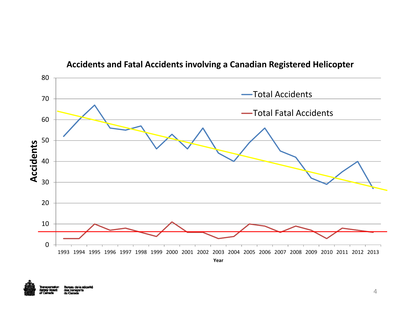

#### **Accidents and Fatal Accidents involving <sup>a</sup> Canadian Registered Helicopter**

u do la ascuril sty Boar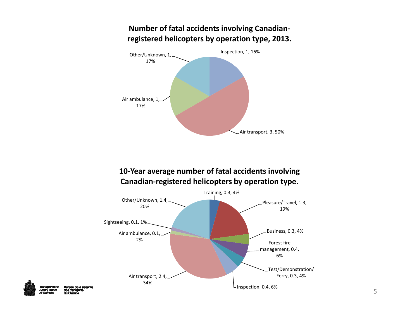

**Number of fatal accidents involving Canadian‐**

#### **10‐Year average number of fatal accidents involving Canadian‐registered helicopters by operation type.**





au de la aécurité s transpo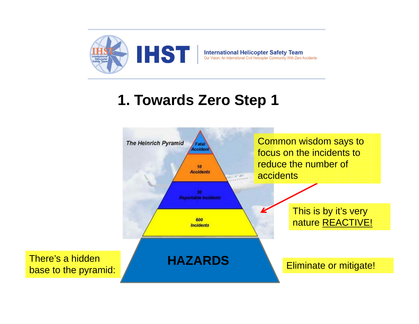

## **1. Towards Zero Step 1**

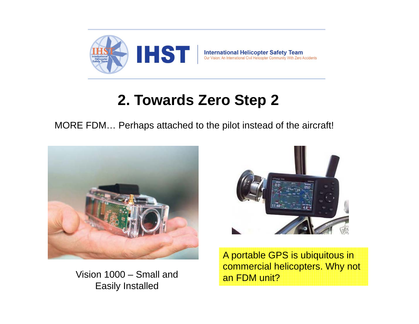

## **2. Towards Zero Step 2**

MORE FDM… Perhaps attached to the pilot instead of the aircraft!



Vision 1000 – Small and Easily Installed



A portable GPS is ubiquitous in commercial helicopters. Why not an FDM unit?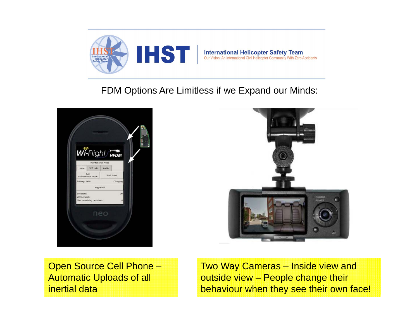

#### FDM Options Are Limitless if we Expand our Minds:





Open Source Cell Phone – Automatic Uploads of all inertial data

Two Way Cameras – Inside view and outside view – People change their behaviour when they see their own face!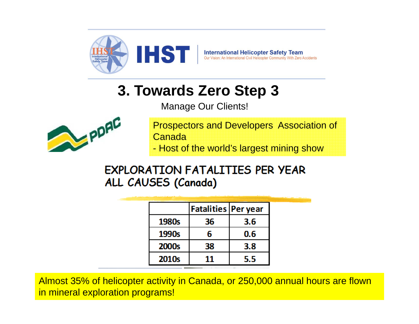

## **3. Towards Zero Step 3**

Manage Our Clients!



Prospectors and Developers Association of Canada- Host of the world's largest mining show

### **EXPLORATION FATALITIES PER YEAR** ALL CAUSES (Canada)

|                   | <b>Fatalities Per year</b> |     |
|-------------------|----------------------------|-----|
| 1980s             | 36                         | 3.6 |
| 1990s             | 6                          | 0.6 |
| 2000s             | 38                         | 3.8 |
| 2010 <sub>s</sub> | 11                         | 5.5 |

Almost 35% of helicopter activity in Canada, or 250,000 annual hours are flown in mineral exploration programs!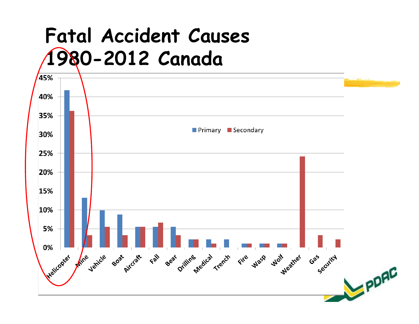# **Fatal Accident Causes 1980-2012 Canada**

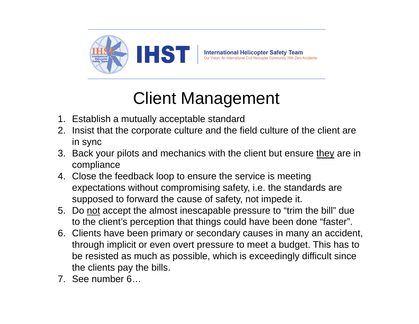

## Client Management

- 1. Establish a mutually acceptable standard
- 2. Insist that the corporate culture and the field culture of the client are in sync
- 3. Back your pilots and mechanics with the client but ensure they are in compliance
- 4. Close the feedback loop to ensure the service is meeting expectations without compromising safety, i.e. the standards are supposed to forward the cause of safety, not impede it.
- 5. Do not accept the almost inescapable pressure to "trim the bill" due to the client's perception that things could have been done "faster".
- 6. Clients have been primary or secondary causes in many an accident, through implicit or even overt pressure to meet a budget. This has to be resisted as much as possible, which is exceedingly difficult since the clients pay the bills.
- 7. See number 6…